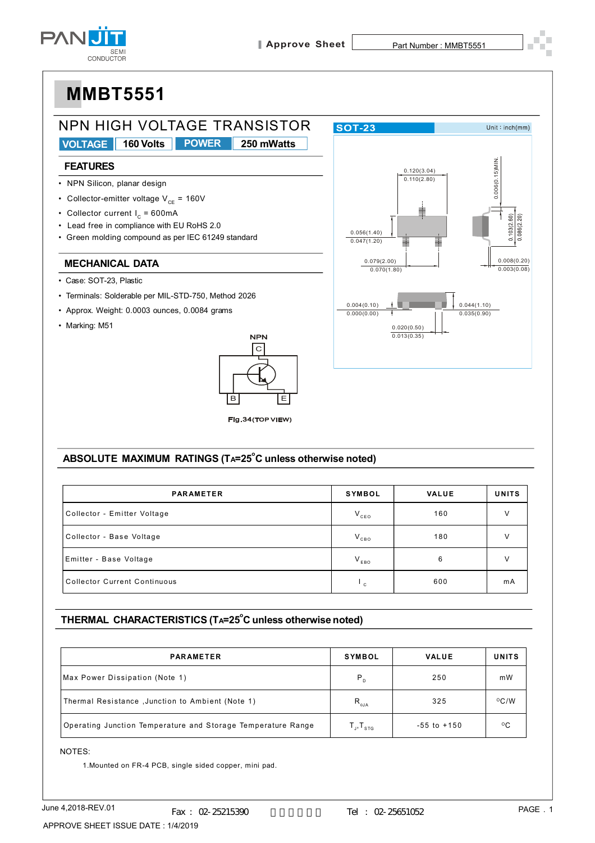



### ABSOLUTE MAXIMUM RATINGS (TA=25°C unless otherwise noted)

| <b>PARAMETER</b>                    | <b>SYMBOL</b> | <b>VALUE</b> | <b>UNITS</b> |
|-------------------------------------|---------------|--------------|--------------|
| Collector - Emitter Voltage         | $V_{ceo}$     | 160          | v            |
| Collector - Base Voltage            | $V_{CBO}$     | 180          | v            |
| Emitter - Base Voltage              | $V_{EBO}$     | 6            | v            |
| <b>Collector Current Continuous</b> | $\mathbf{C}$  | 600          | mA           |

### THERMAL CHARACTERISTICS (TA=25°C unless otherwise noted)

| <b>PARAMETER</b>                                             | <b>SYMBOL</b>                                                                                                                | <b>VALUE</b>    | <b>UNITS</b>   |
|--------------------------------------------------------------|------------------------------------------------------------------------------------------------------------------------------|-----------------|----------------|
| Max Power Dissipation (Note 1)                               | $P_{D}$                                                                                                                      | 250             | mW             |
| Thermal Resistance, Junction to Ambient (Note 1)             | $\mathsf{R}_{_{\sf 0JA}}$                                                                                                    | 325             | $^{\circ}$ C/W |
| Operating Junction Temperature and Storage Temperature Range | $\mathsf{T}_{\scriptscriptstyle \perp\hspace{-1pt}\shortmid},\mathsf{T}_{\scriptscriptstyle \mathsf{S}\mathsf{T}\mathsf{G}}$ | $-55$ to $+150$ | $^{\circ}$ C   |

NOTES:

1. Mounted on FR-4 PCB, single sided copper, mini pad.

APPROVE SHEET ISSUE DATE: 1/4/2019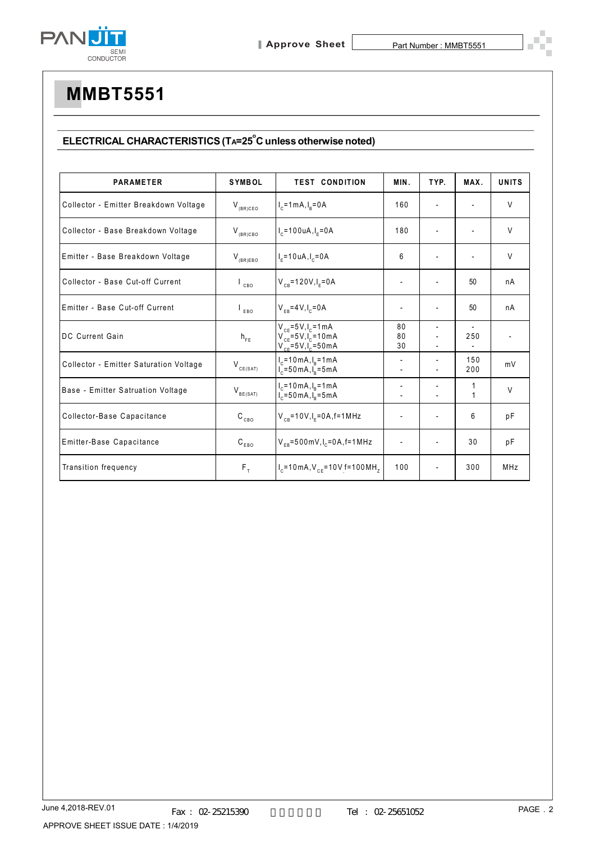

### ELECTRICAL CHARACTERISTICS (TA=25°C unless otherwise noted)

| <b>PARAMETER</b>                       | <b>SYMBOL</b>               | <b>TEST CONDITION</b>                                                                    | MIN.                     | TYP.                     | MAX.              | <b>UNITS</b>   |
|----------------------------------------|-----------------------------|------------------------------------------------------------------------------------------|--------------------------|--------------------------|-------------------|----------------|
| Collector - Emitter Breakdown Voltage  | $V_{(BR)CEO}$               | $I_c = 1 mA, I_R = 0 A$                                                                  | 160                      |                          |                   | V              |
| Collector - Base Breakdown Voltage     | $V_{(BR)CBO}$               | $I_c = 100 uA, I_c = 0A$                                                                 | 180                      |                          |                   | V              |
| Emitter - Base Breakdown Voltage       | $V_{(BR)EBO}$               | $I_{\rm E}$ =10 uA, $I_{\rm C}$ =0A                                                      | 6                        |                          |                   | V              |
| Collector - Base Cut-off Current       | $\mathsf{L}_{\mathsf{CBO}}$ | $V_{CB} = 120V, I_{F} = 0A$                                                              | $\overline{\phantom{a}}$ |                          | 50                | nA             |
| Emitter - Base Cut-off Current         | EBO                         | $V_{FB} = 4 V, I_{c} = 0 A$                                                              | $\overline{\phantom{a}}$ |                          | 50                | nA             |
| <b>DC Current Gain</b>                 | $\mathsf{h}_{\mathsf{FE}}$  | $V_{CF} = 5V, I_{C} = 1 mA$<br>$V_{CF} = 5V, I_{C} = 10mA$<br>$V_{CF} = 5V I_{C} = 50mA$ | 80<br>80<br>30           |                          | 250               | $\blacksquare$ |
| Collector - Emitter Saturation Voltage | $V_{CE(SAT)}$               | $I_c = 10 \text{ mA}, I_R = 1 \text{ mA}$<br>$I_c = 50 \text{ mA}, I_R = 5 \text{ mA}$   |                          |                          | 150<br>200        | mV             |
| Base - Emitter Satruation Voltage      | $V_{BE(SAT)}$               | $I_c = 10 \text{ mA}, I_B = 1 \text{ mA}$<br>$I_c = 50$ mA, $I_n = 5$ mA                 |                          |                          | 1<br>$\mathbf{1}$ | V              |
| Collector-Base Capacitance             | $\mathtt{C_{_{CBO}}}$       | $V_{CB} = 10V, I_F = 0A, f = 1MHz$                                                       |                          |                          | 6                 | pF             |
| Emitter-Base Capacitance               | $\texttt{C}_\texttt{EBO}$   | $V_{FB} = 500$ mV, $I_c = 0$ A, f = 1 MHz                                                | $\overline{\phantom{a}}$ |                          | 30                | pF             |
| Transition frequency                   | $F_T$                       | $I_c = 10 \text{ mA}$ , $V_{cF} = 10 \text{ V}$ f = 100 MH <sub>7</sub>                  | 100                      | $\overline{\phantom{0}}$ | 300               | MHz            |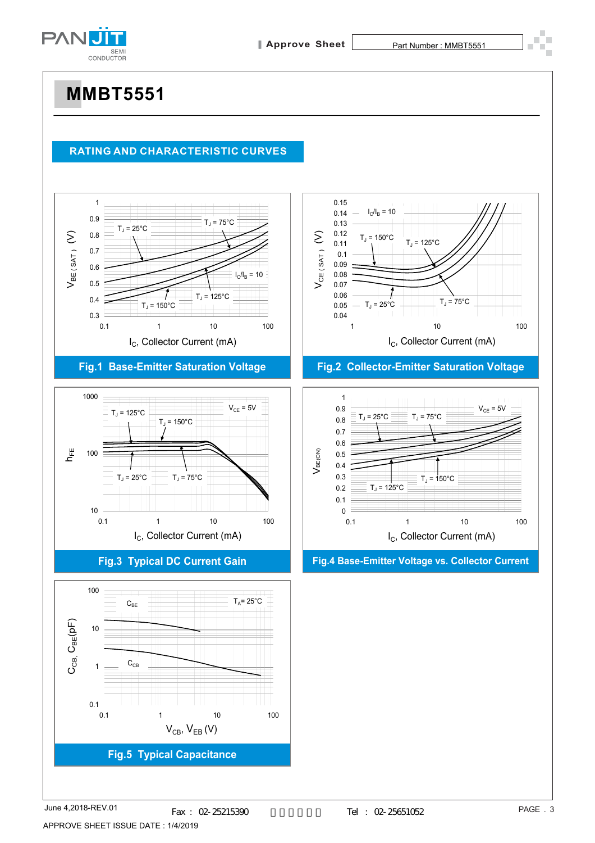

#### **RATING AND CHARACTERISTIC CURVES**



### **Fig.1 Base-Emitter Saturation Voltage**



#### **Fig.3 Typical DC Current Gain**





#### **Fig.2 Collector-Emitter Saturation Voltage**



#### **Fig.4 Base-Emitter Voltage vs. Collector Current**

June 4,2018-REV.01 APPROVE SHEET ISSUE DATE : 1/4/2019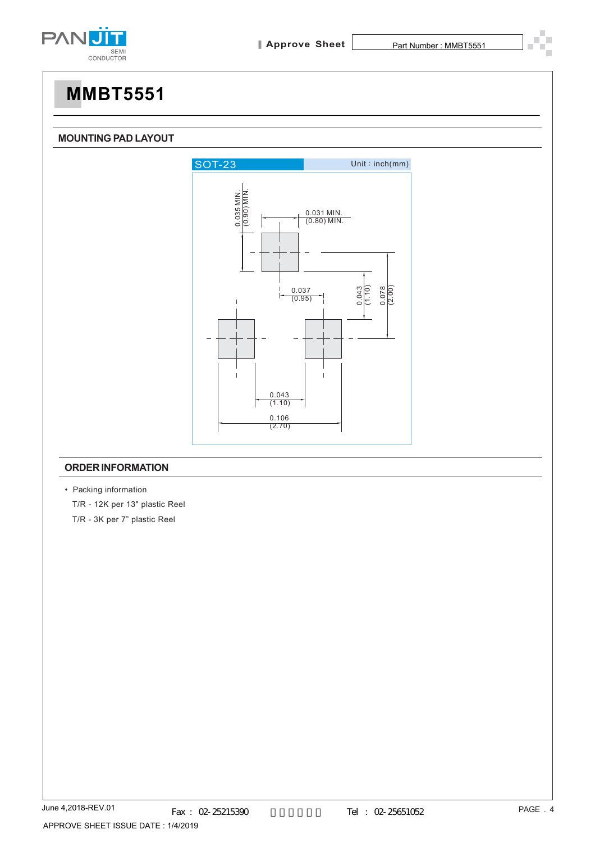

#### **MOUNTING PAD LAYOUT**



#### **ORDER INFORMATION**

• Packing information T/R - 12K per 13" plastic Reel T/R - 3K per 7" plastic Reel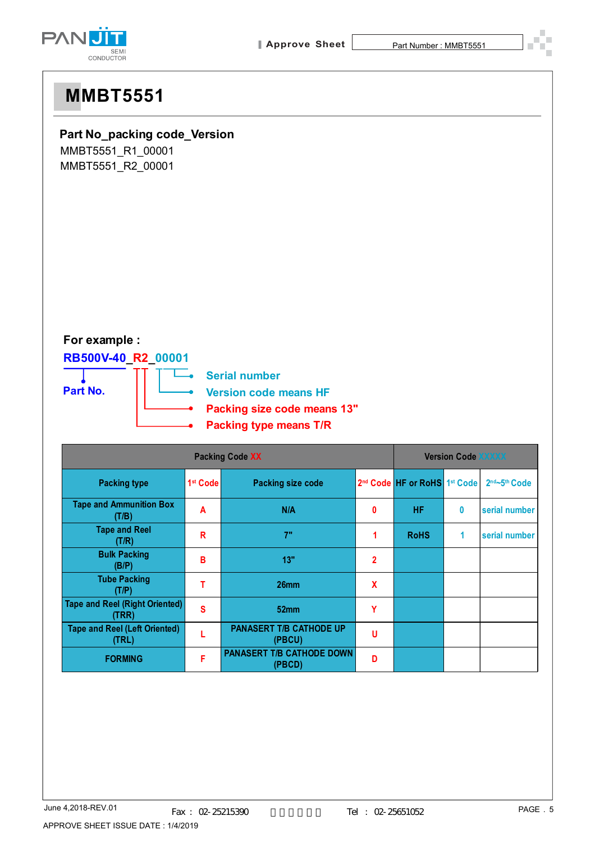

### **Part No\_packing code\_Version**

MMBT5551\_R1\_00001 MMBT5551\_R2\_00001

### **For example :**

### **RB500V-40\_R2\_00001**



| <b>Packing Code XX</b>                         |                      |                                            | <b>Version Code XXXXX</b> |                                                      |   |                             |
|------------------------------------------------|----------------------|--------------------------------------------|---------------------------|------------------------------------------------------|---|-----------------------------|
| <b>Packing type</b>                            | 1 <sup>st</sup> Code | <b>Packing size code</b>                   |                           | 2 <sup>nd</sup> Code HF or RoHS 1 <sup>st</sup> Code |   | $2nd$ ~5 <sup>th</sup> Code |
| <b>Tape and Ammunition Box</b><br>(T/B)        | A                    | N/A                                        | 0                         | <b>HF</b>                                            | 0 | serial number               |
| <b>Tape and Reel</b><br>(T/R)                  | R                    | 7"                                         | 1                         | <b>RoHS</b>                                          | 1 | serial number               |
| <b>Bulk Packing</b><br>(B/P)                   | в                    | 13"                                        | $\overline{2}$            |                                                      |   |                             |
| <b>Tube Packing</b><br>(T/P)                   |                      | 26 <sub>mm</sub>                           | X                         |                                                      |   |                             |
| <b>Tape and Reel (Right Oriented)</b><br>(TRR) | S                    | 52mm                                       | Υ                         |                                                      |   |                             |
| <b>Tape and Reel (Left Oriented)</b><br>(TRL)  |                      | <b>PANASERT T/B CATHODE UP</b><br>(PBCU)   | u                         |                                                      |   |                             |
| <b>FORMING</b>                                 | F                    | <b>PANASERT T/B CATHODE DOWN</b><br>(PBCD) | D                         |                                                      |   |                             |